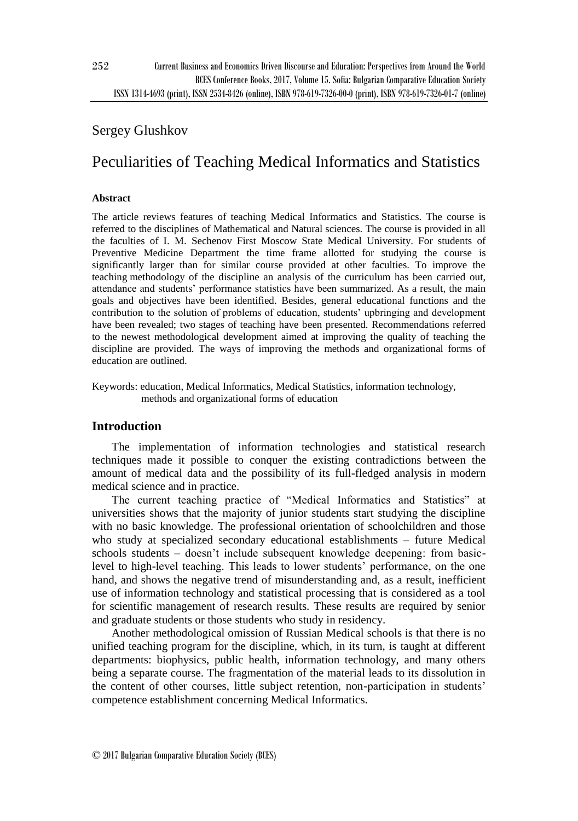# Sergey Glushkov

# Peculiarities of Teaching Medical Informatics and Statistics

### **Abstract**

The article reviews features of teaching Medical Informatics and Statistics. The course is referred to the disciplines of Mathematical and Natural sciences. The course is provided in all the faculties of I. M. Sechenov First Moscow State Medical University. For students of Preventive Medicine Department the time frame allotted for studying the course is significantly larger than for similar course provided at other faculties. To improve the teaching methodology of the discipline an analysis of the curriculum has been carried out, attendance and students' performance statistics have been summarized. As a result, the main goals and objectives have been identified. Besides, general educational functions and the contribution to the solution of problems of education, students' upbringing and development have been revealed; two stages of teaching have been presented. Recommendations referred to the newest methodological development aimed at improving the quality of teaching the discipline are provided. The ways of improving the methods and organizational forms of education are outlined.

Keywords: education, Medical Informatics, Medical Statistics, information technology, methods and organizational forms of education

# **Introduction**

The implementation of information technologies and statistical research techniques made it possible to conquer the existing contradictions between the amount of medical data and the possibility of its [full-fledged](http://www.linguee.ru/английский-русский/перевод/full-fledged.html) analysis in modern medical science and in practice.

The current teaching practice of "Medical Informatics and Statistics" at universities shows that the majority of junior students start studying the discipline with no basic knowledge. The professional orientation of schoolchildren and those who study at specialized secondary educational establishments – future Medical schools students – doesn't include subsequent knowledge deepening: from basiclevel to high-level teaching. This leads to lower students' performance, on the one hand, and shows the negative trend of misunderstanding and, as a result, inefficient use of information technology and statistical processing that is considered as a tool for scientific management of research results. These results are required by senior and graduate students or those students who study in residency.

Another methodological omission of Russian Medical schools is that there is no unified teaching program for the discipline, which, in its turn, is taught at different departments: biophysics, public health, information technology, and many others being a separate course. The fragmentation of the material leads to its dissolution in the content of other courses, little subject retention, non-participation in students' competence establishment concerning Medical Informatics.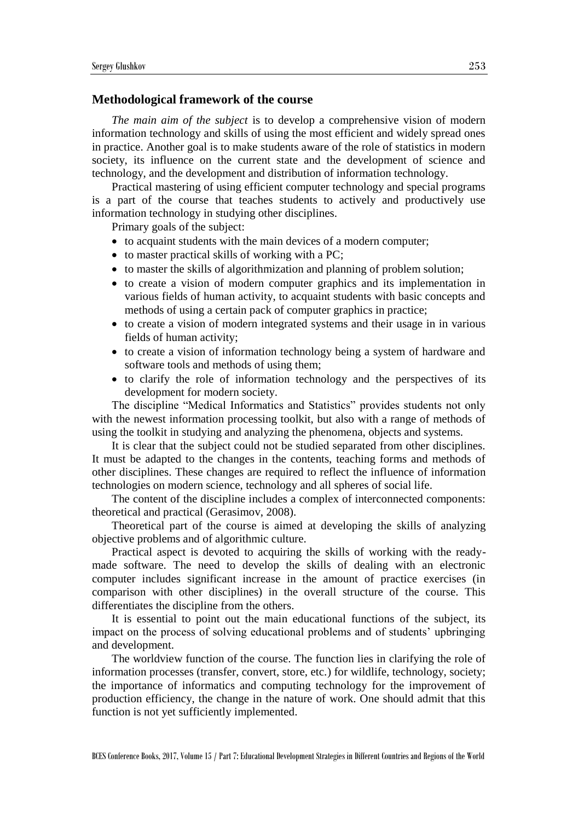#### **Methodological framework of the course**

*The main aim of the subject* is to develop a comprehensive vision of modern information technology and skills of using the most efficient and widely spread ones in practice. Another goal is to make students aware of the role of statistics in modern society, its influence on the current state and the development of science and technology, and the development and distribution of information technology.

Practical mastering of using efficient computer technology and special programs is a part of the course that teaches students to actively and productively use information technology in studying other disciplines.

Primary goals of the subject:

- to acquaint students with the main devices of a modern computer;
- to master practical skills of working with a PC;
- to master the skills of algorithmization and planning of problem solution;
- to create a vision of modern computer graphics and its implementation in various fields of human activity, to acquaint students with basic concepts and methods of using a certain pack of computer graphics in practice;
- to create a vision of modern integrated systems and their usage in in various fields of human activity;
- to create a vision of information technology being a system of hardware and software tools and methods of using them;
- to clarify the role of information technology and the perspectives of its development for modern society.

The discipline "Medical Informatics and Statistics" provides students not only with the newest information processing toolkit, but also with a range of methods of using the toolkit in studying and analyzing the phenomena, objects and systems.

It is clear that the subject could not be studied separated from other disciplines. It must be adapted to the changes in the contents, teaching forms and methods of other disciplines. These changes are required to reflect the influence of information technologies on modern science, technology and all spheres of social life.

The content of the discipline includes a complex of interconnected components: theoretical and practical (Gerasimov, 2008).

Theoretical part of the course is aimed at developing the skills of analyzing objective problems and of algorithmic culture.

Practical aspect is devoted to acquiring the skills of working with the readymade software. The need to develop the skills of dealing with an electronic computer includes significant increase in the amount of practice exercises (in comparison with other disciplines) in the overall structure of the course. This differentiates the discipline from the others.

It is essential to point out the main educational functions of the subject, its impact on the process of solving educational problems and of students' upbringing and development.

The worldview function of the course. The function lies in clarifying the role of information processes (transfer, convert, store, etc.) for wildlife, technology, society; the importance of informatics and computing technology for the improvement of production efficiency, the change in the nature of work. One should admit that this function is not yet sufficiently implemented.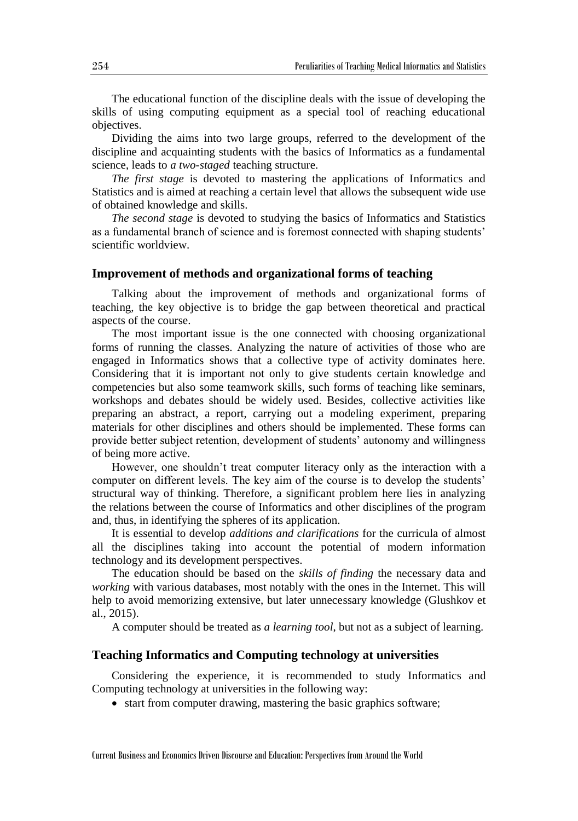The educational function of the discipline deals with the issue of developing the skills of using computing equipment as a special tool of reaching educational objectives.

Dividing the aims into two large groups, referred to the development of the discipline and acquainting students with the basics of Informatics as a fundamental science, leads to *a two-staged* teaching structure.

*The first stage* is devoted to mastering the applications of Informatics and Statistics and is aimed at reaching a certain level that allows the subsequent wide use of obtained knowledge and skills.

*The second stage* is devoted to studying the basics of Informatics and Statistics as a fundamental branch of science and is foremost connected with shaping students' scientific worldview.

#### **Improvement of methods and organizational forms of teaching**

Talking about the improvement of methods and organizational forms of teaching, the key objective is to bridge the gap between theoretical and practical aspects of the course.

The most important issue is the one connected with choosing organizational forms of running the classes. Analyzing the nature of activities of those who are engaged in Informatics shows that a collective type of activity dominates here. Considering that it is important not only to give students certain knowledge and competencies but also some teamwork skills, such forms of teaching like seminars, workshops and debates should be widely used. Besides, collective activities like preparing an abstract, a report, carrying out a modeling experiment, preparing materials for other disciplines and others should be implemented. These forms can provide better subject retention, development of students' autonomy and willingness of being more active.

However, one shouldn't treat computer literacy only as the interaction with a computer on different levels. The key aim of the course is to develop the students' structural way of thinking. Therefore, a significant problem here lies in analyzing the relations between the course of Informatics and other disciplines of the program and, thus, in identifying the spheres of its application.

It is essential to develop *additions and clarifications* for the curricula of almost all the disciplines taking into account the potential of modern information technology and its development perspectives.

The education should be based on the *skills of finding* the necessary data and *working* with various databases, most notably with the ones in the Internet. This will help to avoid memorizing extensive, but later unnecessary knowledge (Glushkov et al., 2015).

A computer should be treated as *a learning tool*, but not as a subject of learning.

#### **Teaching Informatics and Computing technology at universities**

Considering the experience, it is recommended to study Informatics and Computing technology at universities in the following way:

• start from computer drawing, mastering the basic graphics software;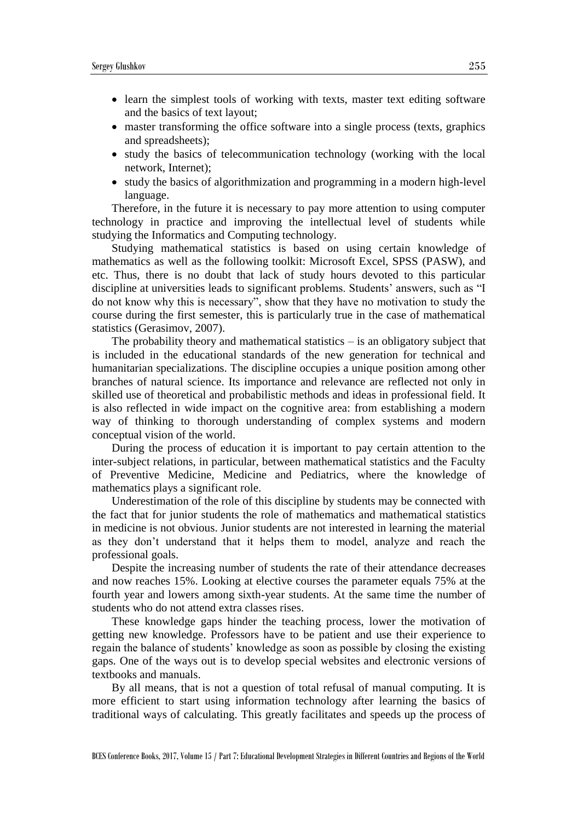- learn the simplest tools of working with texts, master text editing software and the basics of text layout;
- master transforming the office software into a single process (texts, graphics and spreadsheets);
- study the basics of telecommunication technology (working with the local network, Internet);
- study the basics of algorithmization and programming in a modern high-level language.

Therefore, in the future it is necessary to pay more attention to using computer technology in practice and improving the intellectual level of students while studying the Informatics and Computing technology.

Studying mathematical statistics is based on using certain knowledge of mathematics as well as the following toolkit: Microsoft Excel, SPSS (PASW), and etc. Thus, there is no doubt that lack of study hours devoted to this particular discipline at universities leads to significant problems. Students' answers, such as "I do not know why this is necessary", show that they have no motivation to study the course during the first semester, this is particularly true in the case of mathematical statistics (Gerasimov, 2007).

The probability theory and mathematical statistics  $-\dot{i}$  is an obligatory subject that is included in the educational standards of the new generation for technical and humanitarian specializations. The discipline occupies a unique position among other branches of natural science. Its importance and relevance are reflected not only in skilled use of theoretical and probabilistic methods and ideas in professional field. It is also reflected in wide impact on the cognitive area: from establishing a modern way of thinking to thorough understanding of complex systems and modern conceptual vision of the world.

During the process of education it is important to pay certain attention to the inter-subject relations, in particular, between mathematical statistics and the Faculty of Preventive Medicine, Medicine and Pediatrics, where the knowledge of mathematics plays a significant role.

Underestimation of the role of this discipline by students may be connected with the fact that for junior students the role of mathematics and mathematical statistics in medicine is not obvious. Junior students are not interested in learning the material as they don't understand that it helps them to model, analyze and reach the professional goals.

Despite the increasing number of students the rate of their attendance decreases and now reaches 15%. Looking at elective courses the parameter equals 75% at the fourth year and lowers among sixth-year students. At the same time the number of students who do not attend extra classes rises.

These knowledge gaps hinder the teaching process, lower the motivation of getting new knowledge. Professors have to be patient and use their experience to regain the balance of students' knowledge as soon as possible by closing the existing gaps. One of the ways out is to develop special websites and electronic versions of textbooks and manuals.

By all means, that is not a question of total refusal of manual computing. It is more efficient to start using information technology after learning the basics of traditional ways of calculating. This greatly facilitates and speeds up the process of